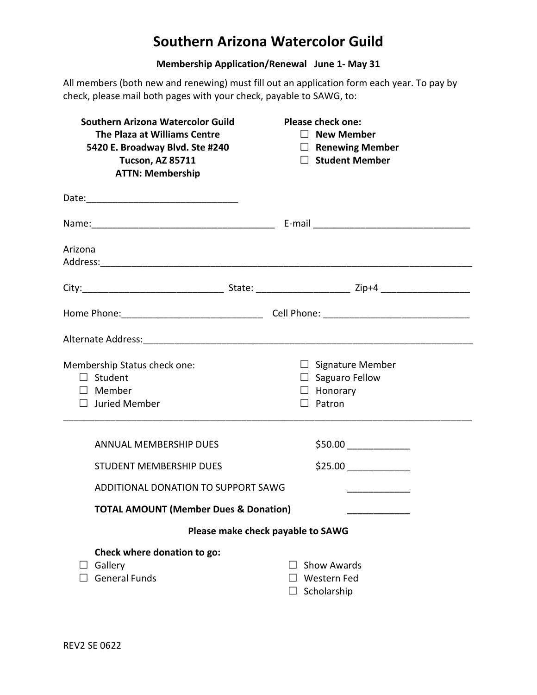## **Southern Arizona Watercolor Guild**

## **Membership Application/Renewal June 1- May 31**

All members (both new and renewing) must fill out an application form each year. To pay by check, please mail both pages with your check, payable to SAWG, to:

| <b>Southern Arizona Watercolor Guild</b><br>The Plaza at Williams Centre<br>5420 E. Broadway Blvd. Ste #240<br><b>Tucson, AZ 85711</b><br><b>ATTN: Membership</b> | <b>Please check one:</b><br>$\Box$ New Member<br>$\Box$ Renewing Member<br>□ Student Member |  |
|-------------------------------------------------------------------------------------------------------------------------------------------------------------------|---------------------------------------------------------------------------------------------|--|
|                                                                                                                                                                   |                                                                                             |  |
|                                                                                                                                                                   |                                                                                             |  |
| Arizona                                                                                                                                                           |                                                                                             |  |
|                                                                                                                                                                   |                                                                                             |  |
|                                                                                                                                                                   |                                                                                             |  |
|                                                                                                                                                                   |                                                                                             |  |
| Membership Status check one:<br>$\Box$ Student<br>$\Box$ Member<br>$\Box$ Juried Member                                                                           | $\Box$ Signature Member<br>$\Box$ Saguaro Fellow<br>$\Box$ Honorary<br>$\Box$ Patron        |  |
| <b>ANNUAL MEMBERSHIP DUES</b>                                                                                                                                     |                                                                                             |  |
| <b>STUDENT MEMBERSHIP DUES</b>                                                                                                                                    |                                                                                             |  |
| ADDITIONAL DONATION TO SUPPORT SAWG                                                                                                                               |                                                                                             |  |
| <b>TOTAL AMOUNT (Member Dues &amp; Donation)</b>                                                                                                                  |                                                                                             |  |
|                                                                                                                                                                   | Please make check payable to SAWG                                                           |  |
| Check where donation to go:<br>Gallery<br><b>General Funds</b>                                                                                                    | <b>Show Awards</b><br><b>Western Fed</b><br>Scholarship                                     |  |